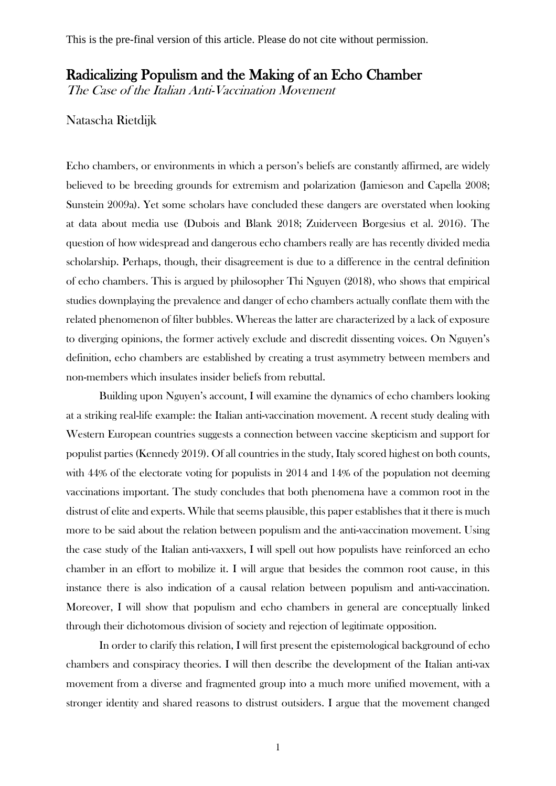# Radicalizing Populism and the Making of an Echo Chamber

The Case of the Italian Anti-Vaccination Movement

## Natascha Rietdijk

Echo chambers, or environments in which a person's beliefs are constantly affirmed, are widely believed to be breeding grounds for extremism and polarization (Jamieson and Capella 2008; Sunstein 2009a). Yet some scholars have concluded these dangers are overstated when looking at data about media use (Dubois and Blank 2018; Zuiderveen Borgesius et al. 2016). The question of how widespread and dangerous echo chambers really are has recently divided media scholarship. Perhaps, though, their disagreement is due to a difference in the central definition of echo chambers. This is argued by philosopher Thi Nguyen (2018), who shows that empirical studies downplaying the prevalence and danger of echo chambers actually conflate them with the related phenomenon of filter bubbles. Whereas the latter are characterized by a lack of exposure to diverging opinions, the former actively exclude and discredit dissenting voices. On Nguyen's definition, echo chambers are established by creating a trust asymmetry between members and non-members which insulates insider beliefs from rebuttal.

Building upon Nguyen's account, I will examine the dynamics of echo chambers looking at a striking real-life example: the Italian anti-vaccination movement. A recent study dealing with Western European countries suggests a connection between vaccine skepticism and support for populist parties (Kennedy 2019). Of all countries in the study, Italy scored highest on both counts, with 44% of the electorate voting for populists in 2014 and 14% of the population not deeming vaccinations important. The study concludes that both phenomena have a common root in the distrust of elite and experts. While that seems plausible, this paper establishes that it there is much more to be said about the relation between populism and the anti-vaccination movement. Using the case study of the Italian anti-vaxxers, I will spell out how populists have reinforced an echo chamber in an effort to mobilize it. I will argue that besides the common root cause, in this instance there is also indication of a causal relation between populism and anti-vaccination. Moreover, I will show that populism and echo chambers in general are conceptually linked through their dichotomous division of society and rejection of legitimate opposition.

In order to clarify this relation, I will first present the epistemological background of echo chambers and conspiracy theories. I will then describe the development of the Italian anti-vax movement from a diverse and fragmented group into a much more unified movement, with a stronger identity and shared reasons to distrust outsiders. I argue that the movement changed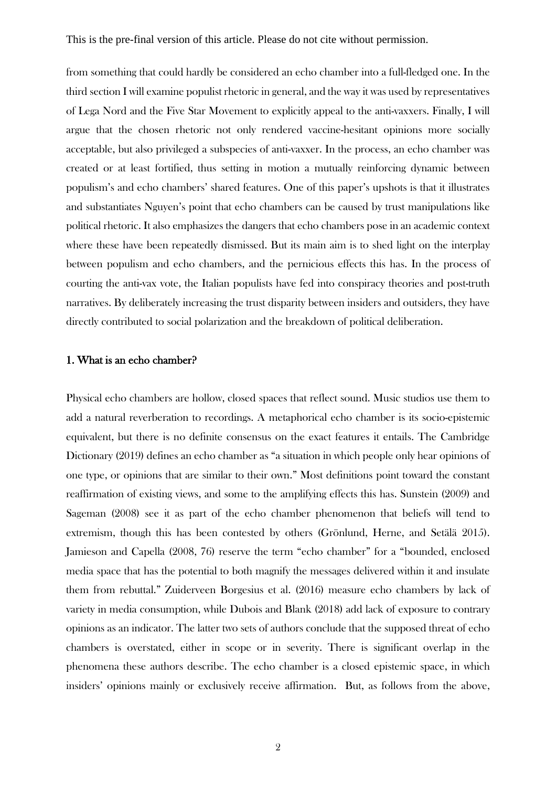from something that could hardly be considered an echo chamber into a full-fledged one. In the third section I will examine populist rhetoric in general, and the way it was used by representatives of Lega Nord and the Five Star Movement to explicitly appeal to the anti-vaxxers. Finally, I will argue that the chosen rhetoric not only rendered vaccine-hesitant opinions more socially acceptable, but also privileged a subspecies of anti-vaxxer. In the process, an echo chamber was created or at least fortified, thus setting in motion a mutually reinforcing dynamic between populism's and echo chambers' shared features. One of this paper's upshots is that it illustrates and substantiates Nguyen's point that echo chambers can be caused by trust manipulations like political rhetoric. It also emphasizes the dangers that echo chambers pose in an academic context where these have been repeatedly dismissed. But its main aim is to shed light on the interplay between populism and echo chambers, and the pernicious effects this has. In the process of courting the anti-vax vote, the Italian populists have fed into conspiracy theories and post-truth narratives. By deliberately increasing the trust disparity between insiders and outsiders, they have directly contributed to social polarization and the breakdown of political deliberation.

#### 1. What is an echo chamber?

Physical echo chambers are hollow, closed spaces that reflect sound. Music studios use them to add a natural reverberation to recordings. A metaphorical echo chamber is its socio-epistemic equivalent, but there is no definite consensus on the exact features it entails. The Cambridge Dictionary (2019) defines an echo chamber as "a situation in which people only hear opinions of one type, or opinions that are similar to their own." Most definitions point toward the constant reaffirmation of existing views, and some to the amplifying effects this has. Sunstein (2009) and Sageman (2008) see it as part of the echo chamber phenomenon that beliefs will tend to extremism, though this has been contested by others (Grönlund, Herne, and Setälä 2015). Jamieson and Capella (2008, 76) reserve the term "echo chamber" for a "bounded, enclosed media space that has the potential to both magnify the messages delivered within it and insulate them from rebuttal." Zuiderveen Borgesius et al. (2016) measure echo chambers by lack of variety in media consumption, while Dubois and Blank (2018) add lack of exposure to contrary opinions as an indicator. The latter two sets of authors conclude that the supposed threat of echo chambers is overstated, either in scope or in severity. There is significant overlap in the phenomena these authors describe. The echo chamber is a closed epistemic space, in which insiders' opinions mainly or exclusively receive affirmation. But, as follows from the above,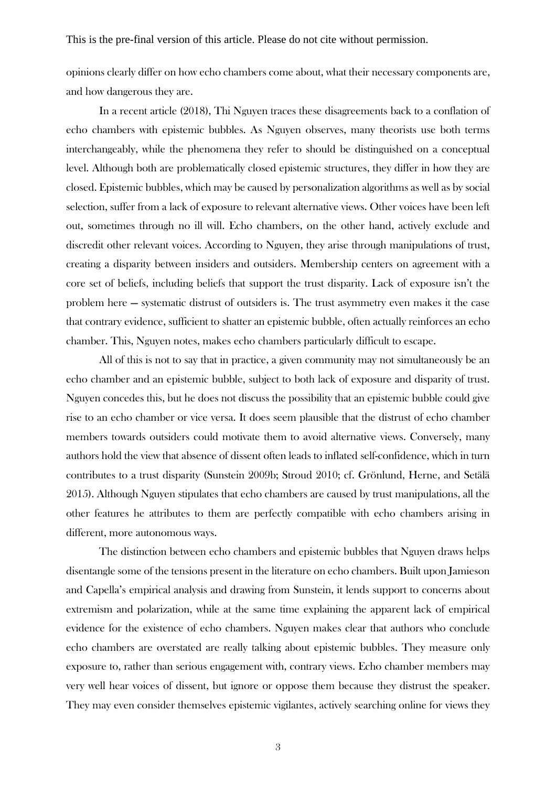opinions clearly differ on how echo chambers come about, what their necessary components are, and how dangerous they are.

In a recent article (2018), Thi Nguyen traces these disagreements back to a conflation of echo chambers with epistemic bubbles. As Nguyen observes, many theorists use both terms interchangeably, while the phenomena they refer to should be distinguished on a conceptual level. Although both are problematically closed epistemic structures, they differ in how they are closed. Epistemic bubbles, which may be caused by personalization algorithms as well as by social selection, suffer from a lack of exposure to relevant alternative views. Other voices have been left out, sometimes through no ill will. Echo chambers, on the other hand, actively exclude and discredit other relevant voices. According to Nguyen, they arise through manipulations of trust, creating a disparity between insiders and outsiders. Membership centers on agreement with a core set of beliefs, including beliefs that support the trust disparity. Lack of exposure isn't the problem here — systematic distrust of outsiders is. The trust asymmetry even makes it the case that contrary evidence, sufficient to shatter an epistemic bubble, often actually reinforces an echo chamber. This, Nguyen notes, makes echo chambers particularly difficult to escape.

All of this is not to say that in practice, a given community may not simultaneously be an echo chamber and an epistemic bubble, subject to both lack of exposure and disparity of trust. Nguyen concedes this, but he does not discuss the possibility that an epistemic bubble could give rise to an echo chamber or vice versa. It does seem plausible that the distrust of echo chamber members towards outsiders could motivate them to avoid alternative views. Conversely, many authors hold the view that absence of dissent often leads to inflated self-confidence, which in turn contributes to a trust disparity (Sunstein 2009b; Stroud 2010; cf. Grönlund, Herne, and Setälä 2015). Although Nguyen stipulates that echo chambers are caused by trust manipulations, all the other features he attributes to them are perfectly compatible with echo chambers arising in different, more autonomous ways.

The distinction between echo chambers and epistemic bubbles that Nguyen draws helps disentangle some of the tensions present in the literature on echo chambers. Built upon Jamieson and Capella's empirical analysis and drawing from Sunstein, it lends support to concerns about extremism and polarization, while at the same time explaining the apparent lack of empirical evidence for the existence of echo chambers. Nguyen makes clear that authors who conclude echo chambers are overstated are really talking about epistemic bubbles. They measure only exposure to, rather than serious engagement with, contrary views. Echo chamber members may very well hear voices of dissent, but ignore or oppose them because they distrust the speaker. They may even consider themselves epistemic vigilantes, actively searching online for views they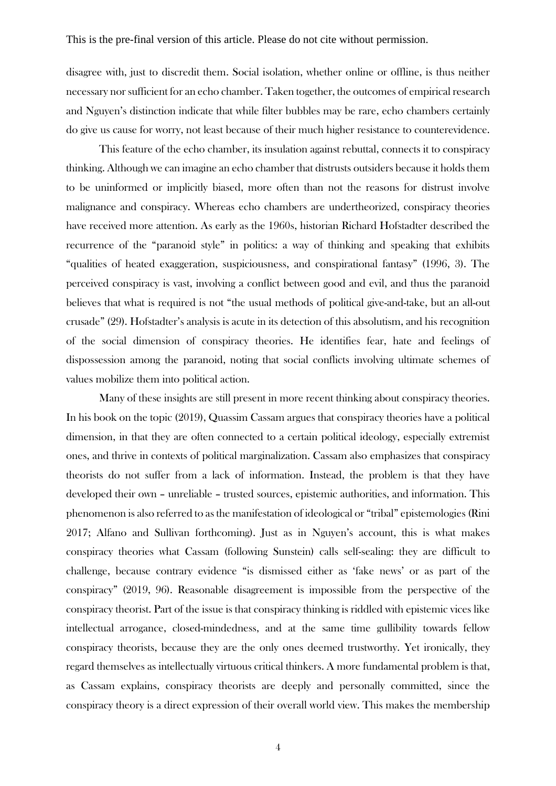disagree with, just to discredit them. Social isolation, whether online or offline, is thus neither necessary nor sufficient for an echo chamber. Taken together, the outcomes of empirical research and Nguyen's distinction indicate that while filter bubbles may be rare, echo chambers certainly do give us cause for worry, not least because of their much higher resistance to counterevidence.

This feature of the echo chamber, its insulation against rebuttal, connects it to conspiracy thinking. Although we can imagine an echo chamber that distrusts outsiders because it holds them to be uninformed or implicitly biased, more often than not the reasons for distrust involve malignance and conspiracy. Whereas echo chambers are undertheorized, conspiracy theories have received more attention. As early as the 1960s, historian Richard Hofstadter described the recurrence of the "paranoid style" in politics: a way of thinking and speaking that exhibits "qualities of heated exaggeration, suspiciousness, and conspirational fantasy" (1996, 3). The perceived conspiracy is vast, involving a conflict between good and evil, and thus the paranoid believes that what is required is not "the usual methods of political give-and-take, but an all-out crusade" (29). Hofstadter's analysis is acute in its detection of this absolutism, and his recognition of the social dimension of conspiracy theories. He identifies fear, hate and feelings of dispossession among the paranoid, noting that social conflicts involving ultimate schemes of values mobilize them into political action.

Many of these insights are still present in more recent thinking about conspiracy theories. In his book on the topic (2019), Quassim Cassam argues that conspiracy theories have a political dimension, in that they are often connected to a certain political ideology, especially extremist ones, and thrive in contexts of political marginalization. Cassam also emphasizes that conspiracy theorists do not suffer from a lack of information. Instead, the problem is that they have developed their own – unreliable – trusted sources, epistemic authorities, and information. This phenomenon is also referred to as the manifestation of ideological or "tribal" epistemologies (Rini 2017; Alfano and Sullivan forthcoming). Just as in Nguyen's account, this is what makes conspiracy theories what Cassam (following Sunstein) calls self-sealing: they are difficult to challenge, because contrary evidence "is dismissed either as 'fake news' or as part of the conspiracy" (2019, 96). Reasonable disagreement is impossible from the perspective of the conspiracy theorist. Part of the issue is that conspiracy thinking is riddled with epistemic vices like intellectual arrogance, closed-mindedness, and at the same time gullibility towards fellow conspiracy theorists, because they are the only ones deemed trustworthy. Yet ironically, they regard themselves as intellectually virtuous critical thinkers. A more fundamental problem is that, as Cassam explains, conspiracy theorists are deeply and personally committed, since the conspiracy theory is a direct expression of their overall world view. This makes the membership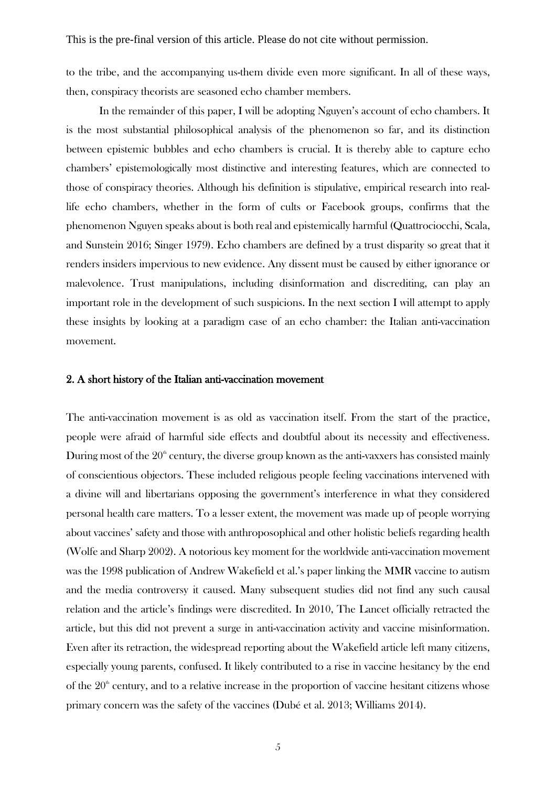to the tribe, and the accompanying us-them divide even more significant. In all of these ways, then, conspiracy theorists are seasoned echo chamber members.

In the remainder of this paper, I will be adopting Nguyen's account of echo chambers. It is the most substantial philosophical analysis of the phenomenon so far, and its distinction between epistemic bubbles and echo chambers is crucial. It is thereby able to capture echo chambers' epistemologically most distinctive and interesting features, which are connected to those of conspiracy theories. Although his definition is stipulative, empirical research into reallife echo chambers, whether in the form of cults or Facebook groups, confirms that the phenomenon Nguyen speaks about is both real and epistemically harmful (Quattrociocchi, Scala, and Sunstein 2016; Singer 1979). Echo chambers are defined by a trust disparity so great that it renders insiders impervious to new evidence. Any dissent must be caused by either ignorance or malevolence. Trust manipulations, including disinformation and discrediting, can play an important role in the development of such suspicions. In the next section I will attempt to apply these insights by looking at a paradigm case of an echo chamber: the Italian anti-vaccination movement.

#### 2. A short history of the Italian anti-vaccination movement

The anti-vaccination movement is as old as vaccination itself. From the start of the practice, people were afraid of harmful side effects and doubtful about its necessity and effectiveness. During most of the  $20^{\circ}$  century, the diverse group known as the anti-vaxxers has consisted mainly of conscientious objectors. These included religious people feeling vaccinations intervened with a divine will and libertarians opposing the government's interference in what they considered personal health care matters. To a lesser extent, the movement was made up of people worrying about vaccines' safety and those with anthroposophical and other holistic beliefs regarding health (Wolfe and Sharp 2002). A notorious key moment for the worldwide anti-vaccination movement was the 1998 publication of Andrew Wakefield et al.'s paper linking the MMR vaccine to autism and the media controversy it caused. Many subsequent studies did not find any such causal relation and the article's findings were discredited. In 2010, The Lancet officially retracted the article, but this did not prevent a surge in anti-vaccination activity and vaccine misinformation. Even after its retraction, the widespread reporting about the Wakefield article left many citizens, especially young parents, confused. It likely contributed to a rise in vaccine hesitancy by the end of the  $20<sup>th</sup>$  century, and to a relative increase in the proportion of vaccine hesitant citizens whose primary concern was the safety of the vaccines (Dubé et al. 2013; Williams 2014).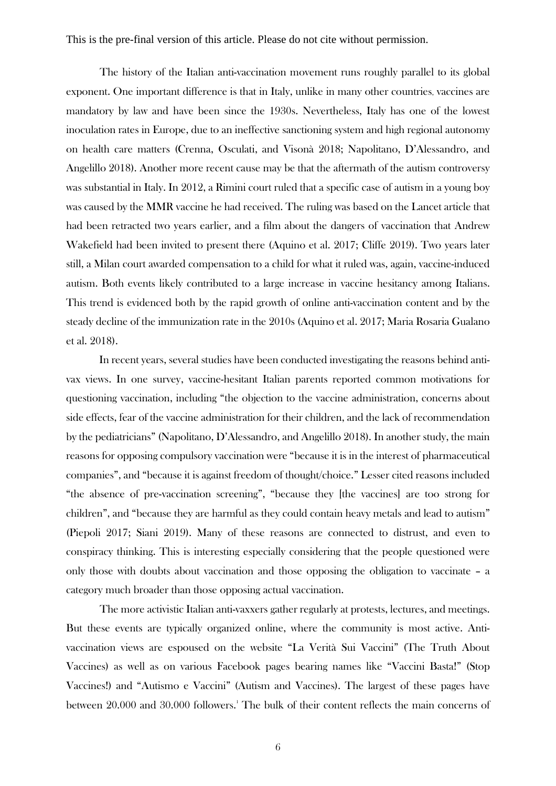The history of the Italian anti-vaccination movement runs roughly parallel to its global exponent. One important difference is that in Italy, unlike in many other countries, vaccines are mandatory by law and have been since the 1930s. Nevertheless, Italy has one of the lowest inoculation rates in Europe, due to an ineffective sanctioning system and high regional autonomy on health care matters (Crenna, Osculati, and Visonà 2018; Napolitano, D'Alessandro, and Angelillo 2018). Another more recent cause may be that the aftermath of the autism controversy was substantial in Italy. In 2012, a Rimini court ruled that a specific case of autism in a young boy was caused by the MMR vaccine he had received. The ruling was based on the Lancet article that had been retracted two years earlier, and a film about the dangers of vaccination that Andrew Wakefield had been invited to present there (Aquino et al. 2017; Cliffe 2019). Two years later still, a Milan court awarded compensation to a child for what it ruled was, again, vaccine-induced autism. Both events likely contributed to a large increase in vaccine hesitancy among Italians. This trend is evidenced both by the rapid growth of online anti-vaccination content and by the steady decline of the immunization rate in the 2010s (Aquino et al. 2017; Maria Rosaria Gualano et al. 2018).

In recent years, several studies have been conducted investigating the reasons behind antivax views. In one survey, vaccine-hesitant Italian parents reported common motivations for questioning vaccination, including "the objection to the vaccine administration, concerns about side effects, fear of the vaccine administration for their children, and the lack of recommendation by the pediatricians" (Napolitano, D'Alessandro, and Angelillo 2018). In another study, the main reasons for opposing compulsory vaccination were "because it is in the interest of pharmaceutical companies", and "because it is against freedom of thought/choice." Lesser cited reasons included "the absence of pre-vaccination screening", "because they [the vaccines] are too strong for children", and "because they are harmful as they could contain heavy metals and lead to autism" (Piepoli 2017; Siani 2019). Many of these reasons are connected to distrust, and even to conspiracy thinking. This is interesting especially considering that the people questioned were only those with doubts about vaccination and those opposing the obligation to vaccinate – a category much broader than those opposing actual vaccination.

The more activistic Italian anti-vaxxers gather regularly at protests, lectures, and meetings. But these events are typically organized online, where the community is most active. Antivaccination views are espoused on the website "La Verità Sui Vaccini" (The Truth About Vaccines) as well as on various Facebook pages bearing names like "Vaccini Basta!" (Stop Vaccines!) and "Autismo e Vaccini" (Autism and Vaccines). The largest of these pages have between 20.000 and 30.000 followers.<sup>1</sup> The bulk of their content reflects the main concerns of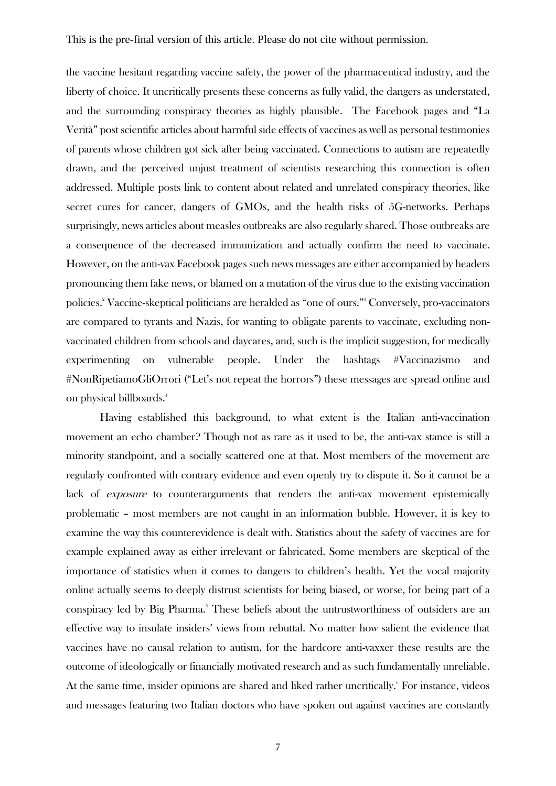the vaccine hesitant regarding vaccine safety, the power of the pharmaceutical industry, and the liberty of choice. It uncritically presents these concerns as fully valid, the dangers as understated, and the surrounding conspiracy theories as highly plausible. The Facebook pages and "La Verità" post scientific articles about harmful side effects of vaccines as well as personal testimonies of parents whose children got sick after being vaccinated. Connections to autism are repeatedly drawn, and the perceived unjust treatment of scientists researching this connection is often addressed. Multiple posts link to content about related and unrelated conspiracy theories, like secret cures for cancer, dangers of GMOs, and the health risks of 5G-networks. Perhaps surprisingly, news articles about measles outbreaks are also regularly shared. Those outbreaks are a consequence of the decreased immunization and actually confirm the need to vaccinate. However, on the anti-vax Facebook pages such news messages are either accompanied by headers pronouncing them fake news, or blamed on a mutation of the virus due to the existing vaccination policies.<sup>2</sup> Vaccine-skeptical politicians are heralded as "one of ours."<sup>3</sup> Conversely, pro-vaccinators are compared to tyrants and Nazis, for wanting to obligate parents to vaccinate, excluding nonvaccinated children from schools and daycares, and, such is the implicit suggestion, for medically experimenting on vulnerable people. Under the hashtags #Vaccinazismo and #NonRipetiamoGliOrrori ("Let's not repeat the horrors") these messages are spread online and on physical billboards.<sup>4</sup>

Having established this background, to what extent is the Italian anti-vaccination movement an echo chamber? Though not as rare as it used to be, the anti-vax stance is still a minority standpoint, and a socially scattered one at that. Most members of the movement are regularly confronted with contrary evidence and even openly try to dispute it. So it cannot be a lack of exposure to counterarguments that renders the anti-vax movement epistemically problematic – most members are not caught in an information bubble. However, it is key to examine the way this counterevidence is dealt with. Statistics about the safety of vaccines are for example explained away as either irrelevant or fabricated. Some members are skeptical of the importance of statistics when it comes to dangers to children's health. Yet the vocal majority online actually seems to deeply distrust scientists for being biased, or worse, for being part of a conspiracy led by Big Pharma.<sup>5</sup> These beliefs about the untrustworthiness of outsiders are an effective way to insulate insiders' views from rebuttal. No matter how salient the evidence that vaccines have no causal relation to autism, for the hardcore anti-vaxxer these results are the outcome of ideologically or financially motivated research and as such fundamentally unreliable. At the same time, insider opinions are shared and liked rather uncritically. For instance, videos and messages featuring two Italian doctors who have spoken out against vaccines are constantly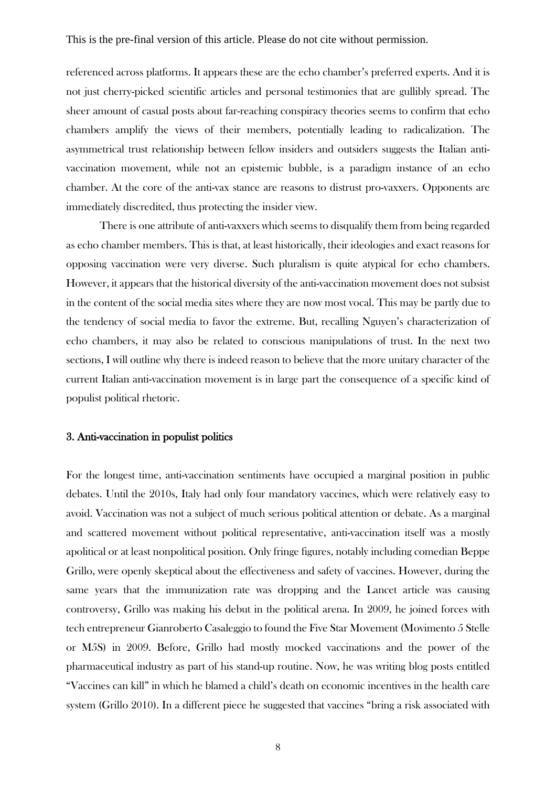referenced across platforms. It appears these are the echo chamber's preferred experts. And it is not just cherry-picked scientific articles and personal testimonies that are gullibly spread. The sheer amount of casual posts about far-reaching conspiracy theories seems to confirm that echo chambers amplify the views of their members, potentially leading to radicalization. The asymmetrical trust relationship between fellow insiders and outsiders suggests the Italian antivaccination movement, while not an epistemic bubble, is a paradigm instance of an echo chamber. At the core of the anti-vax stance are reasons to distrust pro-vaxxers. Opponents are immediately discredited, thus protecting the insider view.

There is one attribute of anti-vaxxers which seems to disqualify them from being regarded as echo chamber members. This is that, at least historically, their ideologies and exact reasons for opposing vaccination were very diverse. Such pluralism is quite atypical for echo chambers. However, it appears that the historical diversity of the anti-vaccination movement does not subsist in the content of the social media sites where they are now most vocal. This may be partly due to the tendency of social media to favor the extreme. But, recalling Nguyen's characterization of echo chambers, it may also be related to conscious manipulations of trust. In the next two sections, I will outline why there is indeed reason to believe that the more unitary character of the current Italian anti-vaccination movement is in large part the consequence of a specific kind of populist political rhetoric.

#### 3. Anti-vaccination in populist politics

For the longest time, anti-vaccination sentiments have occupied a marginal position in public debates. Until the 2010s, Italy had only four mandatory vaccines, which were relatively easy to avoid. Vaccination was not a subject of much serious political attention or debate. As a marginal and scattered movement without political representative, anti-vaccination itself was a mostly apolitical or at least nonpolitical position. Only fringe figures, notably including comedian Beppe Grillo, were openly skeptical about the effectiveness and safety of vaccines. However, during the same years that the immunization rate was dropping and the Lancet article was causing controversy, Grillo was making his debut in the political arena. In 2009, he joined forces with tech entrepreneur Gianroberto Casaleggio to found the Five Star Movement (Movimento 5 Stelle or M5S) in 2009. Before, Grillo had mostly mocked vaccinations and the power of the pharmaceutical industry as part of his stand-up routine. Now, he was writing blog posts entitled "Vaccines can kill" in which he blamed a child's death on economic incentives in the health care system (Grillo 2010). In a different piece he suggested that vaccines "bring a risk associated with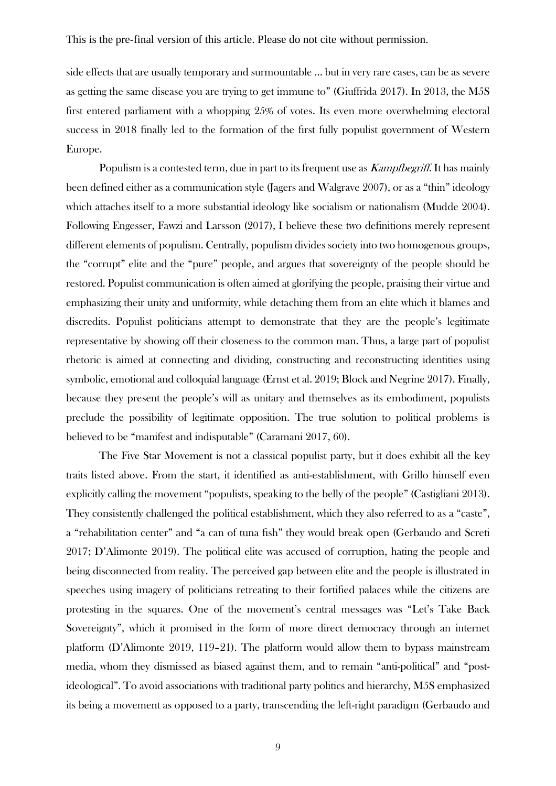side effects that are usually temporary and surmountable … but in very rare cases, can be as severe as getting the same disease you are trying to get immune to" (Giuffrida 2017). In 2013, the M5S first entered parliament with a whopping 25% of votes. Its even more overwhelming electoral success in 2018 finally led to the formation of the first fully populist government of Western Europe.

Populism is a contested term, due in part to its frequent use as *Kampfbegriff*. It has mainly been defined either as a communication style (Jagers and Walgrave 2007), or as a "thin" ideology which attaches itself to a more substantial ideology like socialism or nationalism (Mudde 2004). Following Engesser, Fawzi and Larsson (2017), I believe these two definitions merely represent different elements of populism. Centrally, populism divides society into two homogenous groups, the "corrupt" elite and the "pure" people, and argues that sovereignty of the people should be restored. Populist communication is often aimed at glorifying the people, praising their virtue and emphasizing their unity and uniformity, while detaching them from an elite which it blames and discredits. Populist politicians attempt to demonstrate that they are the people's legitimate representative by showing off their closeness to the common man. Thus, a large part of populist rhetoric is aimed at connecting and dividing, constructing and reconstructing identities using symbolic, emotional and colloquial language (Ernst et al. 2019; Block and Negrine 2017). Finally, because they present the people's will as unitary and themselves as its embodiment, populists preclude the possibility of legitimate opposition. The true solution to political problems is believed to be "manifest and indisputable" (Caramani 2017, 60).

The Five Star Movement is not a classical populist party, but it does exhibit all the key traits listed above. From the start, it identified as anti-establishment, with Grillo himself even explicitly calling the movement "populists, speaking to the belly of the people" (Castigliani 2013). They consistently challenged the political establishment, which they also referred to as a "caste", a "rehabilitation center" and "a can of tuna fish" they would break open (Gerbaudo and Screti 2017; D'Alimonte 2019). The political elite was accused of corruption, hating the people and being disconnected from reality. The perceived gap between elite and the people is illustrated in speeches using imagery of politicians retreating to their fortified palaces while the citizens are protesting in the squares. One of the movement's central messages was "Let's Take Back Sovereignty", which it promised in the form of more direct democracy through an internet platform (D'Alimonte 2019, 119–21). The platform would allow them to bypass mainstream media, whom they dismissed as biased against them, and to remain "anti-political" and "postideological". To avoid associations with traditional party politics and hierarchy, M5S emphasized its being a movement as opposed to a party, transcending the left-right paradigm (Gerbaudo and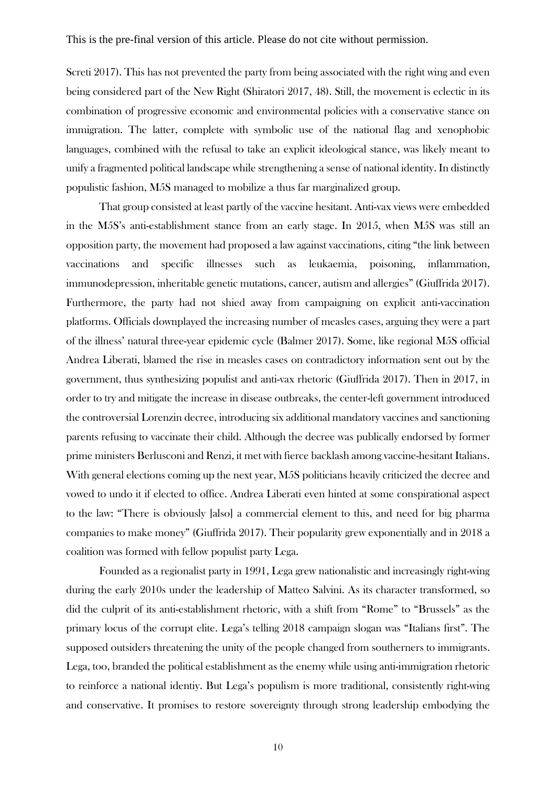Screti 2017). This has not prevented the party from being associated with the right wing and even being considered part of the New Right (Shiratori 2017, 48). Still, the movement is eclectic in its combination of progressive economic and environmental policies with a conservative stance on immigration. The latter, complete with symbolic use of the national flag and xenophobic languages, combined with the refusal to take an explicit ideological stance, was likely meant to unify a fragmented political landscape while strengthening a sense of national identity. In distinctly populistic fashion, M5S managed to mobilize a thus far marginalized group.

That group consisted at least partly of the vaccine hesitant. Anti-vax views were embedded in the M5S's anti-establishment stance from an early stage. In 2015, when M5S was still an opposition party, the movement had proposed a law against vaccinations, citing "the link between vaccinations and specific illnesses such as leukaemia, poisoning, inflammation, immunodepression, inheritable genetic mutations, cancer, autism and allergies" (Giuffrida 2017). Furthermore, the party had not shied away from campaigning on explicit anti-vaccination platforms. Officials downplayed the increasing number of measles cases, arguing they were a part of the illness' natural three-year epidemic cycle (Balmer 2017). Some, like regional M5S official Andrea Liberati, blamed the rise in measles cases on contradictory information sent out by the government, thus synthesizing populist and anti-vax rhetoric (Giuffrida 2017). Then in 2017, in order to try and mitigate the increase in disease outbreaks, the center-left government introduced the controversial Lorenzin decree, introducing six additional mandatory vaccines and sanctioning parents refusing to vaccinate their child. Although the decree was publically endorsed by former prime ministers Berlusconi and Renzi, it met with fierce backlash among vaccine-hesitant Italians. With general elections coming up the next year, M5S politicians heavily criticized the decree and vowed to undo it if elected to office. Andrea Liberati even hinted at some conspirational aspect to the law: "There is obviously [also] a commercial element to this, and need for big pharma companies to make money" (Giuffrida 2017). Their popularity grew exponentially and in 2018 a coalition was formed with fellow populist party Lega.

Founded as a regionalist party in 1991, Lega grew nationalistic and increasingly right-wing during the early 2010s under the leadership of Matteo Salvini. As its character transformed, so did the culprit of its anti-establishment rhetoric, with a shift from "Rome" to "Brussels" as the primary locus of the corrupt elite. Lega's telling 2018 campaign slogan was "Italians first". The supposed outsiders threatening the unity of the people changed from southerners to immigrants. Lega, too, branded the political establishment as the enemy while using anti-immigration rhetoric to reinforce a national identiy. But Lega's populism is more traditional, consistently right-wing and conservative. It promises to restore sovereignty through strong leadership embodying the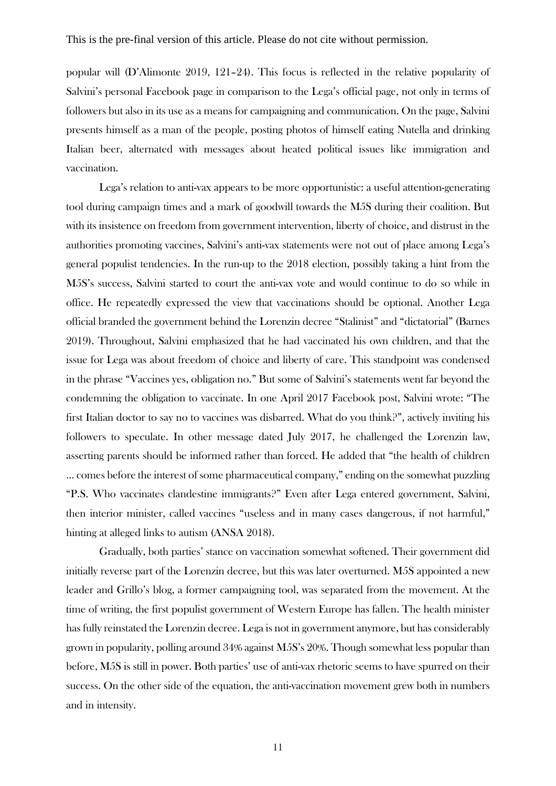popular will (D'Alimonte 2019, 121–24). This focus is reflected in the relative popularity of Salvini's personal Facebook page in comparison to the Lega's official page, not only in terms of followers but also in its use as a means for campaigning and communication. On the page, Salvini presents himself as a man of the people, posting photos of himself eating Nutella and drinking Italian beer, alternated with messages about heated political issues like immigration and vaccination.

Lega's relation to anti-vax appears to be more opportunistic: a useful attention-generating tool during campaign times and a mark of goodwill towards the M5S during their coalition. But with its insistence on freedom from government intervention, liberty of choice, and distrust in the authorities promoting vaccines, Salvini's anti-vax statements were not out of place among Lega's general populist tendencies. In the run-up to the 2018 election, possibly taking a hint from the M5S's success, Salvini started to court the anti-vax vote and would continue to do so while in office. He repeatedly expressed the view that vaccinations should be optional. Another Lega official branded the government behind the Lorenzin decree "Stalinist" and "dictatorial" (Barnes 2019). Throughout, Salvini emphasized that he had vaccinated his own children, and that the issue for Lega was about freedom of choice and liberty of care. This standpoint was condensed in the phrase "Vaccines yes, obligation no." But some of Salvini's statements went far beyond the condemning the obligation to vaccinate. In one April 2017 Facebook post, Salvini wrote: "The first Italian doctor to say no to vaccines was disbarred. What do you think?", actively inviting his followers to speculate. In other message dated July 2017, he challenged the Lorenzin law, asserting parents should be informed rather than forced. He added that "the health of children … comes before the interest of some pharmaceutical company," ending on the somewhat puzzling "P.S. Who vaccinates clandestine immigrants?" Even after Lega entered government, Salvini, then interior minister, called vaccines "useless and in many cases dangerous, if not harmful," hinting at alleged links to autism (ANSA 2018).

Gradually, both parties' stance on vaccination somewhat softened. Their government did initially reverse part of the Lorenzin decree, but this was later overturned. M5S appointed a new leader and Grillo's blog, a former campaigning tool, was separated from the movement. At the time of writing, the first populist government of Western Europe has fallen. The health minister has fully reinstated the Lorenzin decree. Lega is not in government anymore, but has considerably grown in popularity, polling around 34% against M5S's 20%. Though somewhat less popular than before, M5S is still in power. Both parties' use of anti-vax rhetoric seems to have spurred on their success. On the other side of the equation, the anti-vaccination movement grew both in numbers and in intensity.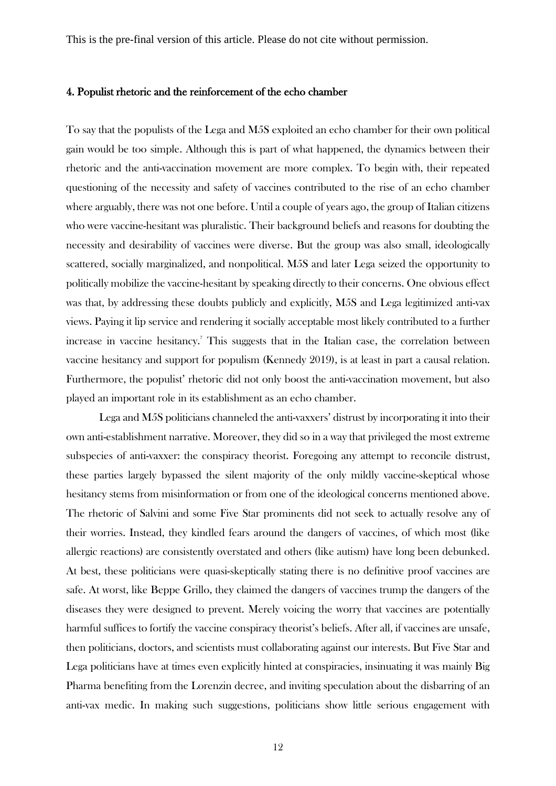#### 4. Populist rhetoric and the reinforcement of the echo chamber

To say that the populists of the Lega and M5S exploited an echo chamber for their own political gain would be too simple. Although this is part of what happened, the dynamics between their rhetoric and the anti-vaccination movement are more complex. To begin with, their repeated questioning of the necessity and safety of vaccines contributed to the rise of an echo chamber where arguably, there was not one before. Until a couple of years ago, the group of Italian citizens who were vaccine-hesitant was pluralistic. Their background beliefs and reasons for doubting the necessity and desirability of vaccines were diverse. But the group was also small, ideologically scattered, socially marginalized, and nonpolitical. M5S and later Lega seized the opportunity to politically mobilize the vaccine-hesitant by speaking directly to their concerns. One obvious effect was that, by addressing these doubts publicly and explicitly, M5S and Lega legitimized anti-vax views. Paying it lip service and rendering it socially acceptable most likely contributed to a further increase in vaccine hesitancy.<sup>7</sup> This suggests that in the Italian case, the correlation between vaccine hesitancy and support for populism (Kennedy 2019), is at least in part a causal relation. Furthermore, the populist' rhetoric did not only boost the anti-vaccination movement, but also played an important role in its establishment as an echo chamber.

Lega and M5S politicians channeled the anti-vaxxers' distrust by incorporating it into their own anti-establishment narrative. Moreover, they did so in a way that privileged the most extreme subspecies of anti-vaxxer: the conspiracy theorist. Foregoing any attempt to reconcile distrust, these parties largely bypassed the silent majority of the only mildly vaccine-skeptical whose hesitancy stems from misinformation or from one of the ideological concerns mentioned above. The rhetoric of Salvini and some Five Star prominents did not seek to actually resolve any of their worries. Instead, they kindled fears around the dangers of vaccines, of which most (like allergic reactions) are consistently overstated and others (like autism) have long been debunked. At best, these politicians were quasi-skeptically stating there is no definitive proof vaccines are safe. At worst, like Beppe Grillo, they claimed the dangers of vaccines trump the dangers of the diseases they were designed to prevent. Merely voicing the worry that vaccines are potentially harmful suffices to fortify the vaccine conspiracy theorist's beliefs. After all, if vaccines are unsafe, then politicians, doctors, and scientists must collaborating against our interests. But Five Star and Lega politicians have at times even explicitly hinted at conspiracies, insinuating it was mainly Big Pharma benefiting from the Lorenzin decree, and inviting speculation about the disbarring of an anti-vax medic. In making such suggestions, politicians show little serious engagement with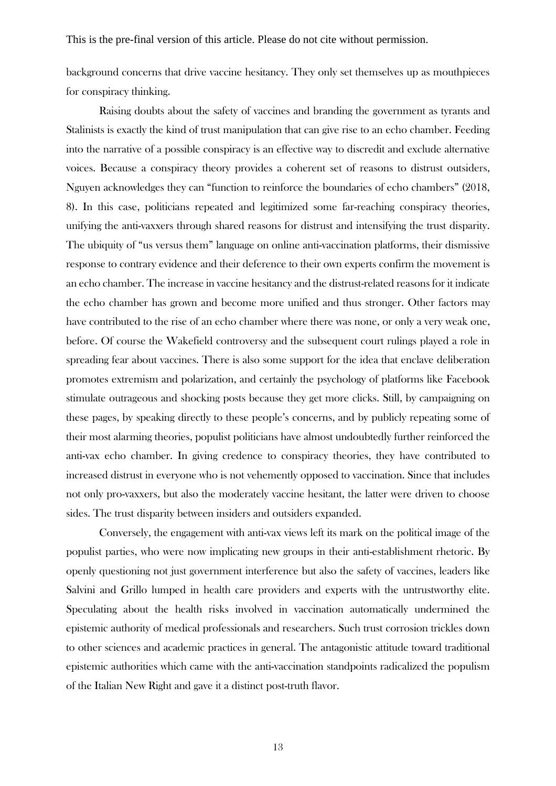background concerns that drive vaccine hesitancy. They only set themselves up as mouthpieces for conspiracy thinking.

Raising doubts about the safety of vaccines and branding the government as tyrants and Stalinists is exactly the kind of trust manipulation that can give rise to an echo chamber. Feeding into the narrative of a possible conspiracy is an effective way to discredit and exclude alternative voices. Because a conspiracy theory provides a coherent set of reasons to distrust outsiders, Nguyen acknowledges they can "function to reinforce the boundaries of echo chambers" (2018, 8). In this case, politicians repeated and legitimized some far-reaching conspiracy theories, unifying the anti-vaxxers through shared reasons for distrust and intensifying the trust disparity. The ubiquity of "us versus them" language on online anti-vaccination platforms, their dismissive response to contrary evidence and their deference to their own experts confirm the movement is an echo chamber. The increase in vaccine hesitancy and the distrust-related reasons for it indicate the echo chamber has grown and become more unified and thus stronger. Other factors may have contributed to the rise of an echo chamber where there was none, or only a very weak one, before. Of course the Wakefield controversy and the subsequent court rulings played a role in spreading fear about vaccines. There is also some support for the idea that enclave deliberation promotes extremism and polarization, and certainly the psychology of platforms like Facebook stimulate outrageous and shocking posts because they get more clicks. Still, by campaigning on these pages, by speaking directly to these people's concerns, and by publicly repeating some of their most alarming theories, populist politicians have almost undoubtedly further reinforced the anti-vax echo chamber. In giving credence to conspiracy theories, they have contributed to increased distrust in everyone who is not vehemently opposed to vaccination. Since that includes not only pro-vaxxers, but also the moderately vaccine hesitant, the latter were driven to choose sides. The trust disparity between insiders and outsiders expanded.

Conversely, the engagement with anti-vax views left its mark on the political image of the populist parties, who were now implicating new groups in their anti-establishment rhetoric. By openly questioning not just government interference but also the safety of vaccines, leaders like Salvini and Grillo lumped in health care providers and experts with the untrustworthy elite. Speculating about the health risks involved in vaccination automatically undermined the epistemic authority of medical professionals and researchers. Such trust corrosion trickles down to other sciences and academic practices in general. The antagonistic attitude toward traditional epistemic authorities which came with the anti-vaccination standpoints radicalized the populism of the Italian New Right and gave it a distinct post-truth flavor.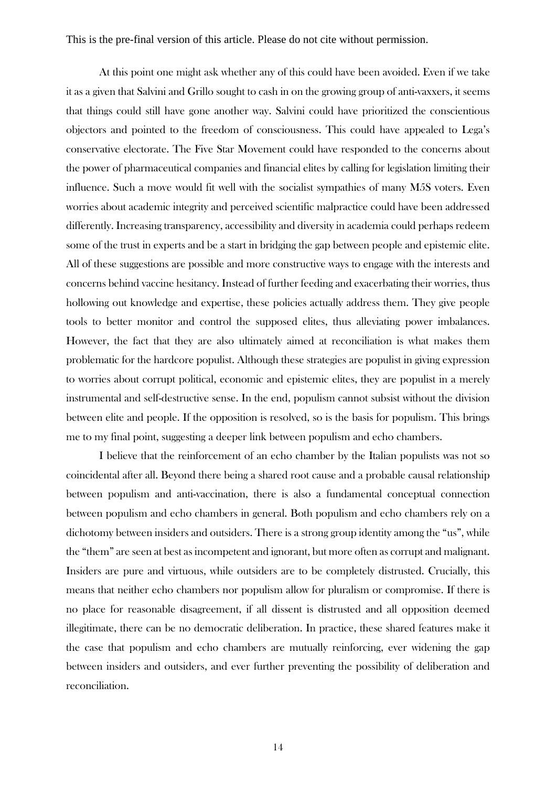At this point one might ask whether any of this could have been avoided. Even if we take it as a given that Salvini and Grillo sought to cash in on the growing group of anti-vaxxers, it seems that things could still have gone another way. Salvini could have prioritized the conscientious objectors and pointed to the freedom of consciousness. This could have appealed to Lega's conservative electorate. The Five Star Movement could have responded to the concerns about the power of pharmaceutical companies and financial elites by calling for legislation limiting their influence. Such a move would fit well with the socialist sympathies of many M5S voters. Even worries about academic integrity and perceived scientific malpractice could have been addressed differently. Increasing transparency, accessibility and diversity in academia could perhaps redeem some of the trust in experts and be a start in bridging the gap between people and epistemic elite. All of these suggestions are possible and more constructive ways to engage with the interests and concerns behind vaccine hesitancy. Instead of further feeding and exacerbating their worries, thus hollowing out knowledge and expertise, these policies actually address them. They give people tools to better monitor and control the supposed elites, thus alleviating power imbalances. However, the fact that they are also ultimately aimed at reconciliation is what makes them problematic for the hardcore populist. Although these strategies are populist in giving expression to worries about corrupt political, economic and epistemic elites, they are populist in a merely instrumental and self-destructive sense. In the end, populism cannot subsist without the division between elite and people. If the opposition is resolved, so is the basis for populism. This brings me to my final point, suggesting a deeper link between populism and echo chambers.

I believe that the reinforcement of an echo chamber by the Italian populists was not so coincidental after all. Beyond there being a shared root cause and a probable causal relationship between populism and anti-vaccination, there is also a fundamental conceptual connection between populism and echo chambers in general. Both populism and echo chambers rely on a dichotomy between insiders and outsiders. There is a strong group identity among the "us", while the "them" are seen at best as incompetent and ignorant, but more often as corrupt and malignant. Insiders are pure and virtuous, while outsiders are to be completely distrusted. Crucially, this means that neither echo chambers nor populism allow for pluralism or compromise. If there is no place for reasonable disagreement, if all dissent is distrusted and all opposition deemed illegitimate, there can be no democratic deliberation. In practice, these shared features make it the case that populism and echo chambers are mutually reinforcing, ever widening the gap between insiders and outsiders, and ever further preventing the possibility of deliberation and reconciliation.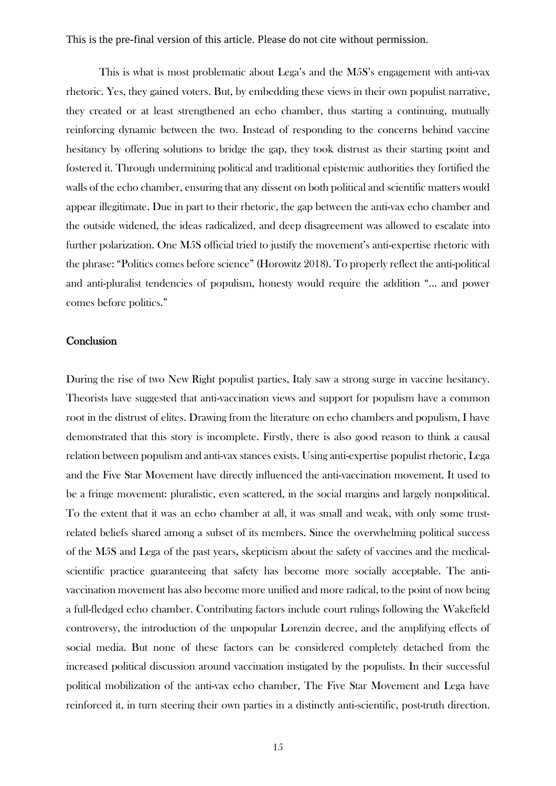This is what is most problematic about Lega's and the M5S's engagement with anti-vax rhetoric. Yes, they gained voters. But, by embedding these views in their own populist narrative, they created or at least strengthened an echo chamber, thus starting a continuing, mutually reinforcing dynamic between the two. Instead of responding to the concerns behind vaccine hesitancy by offering solutions to bridge the gap, they took distrust as their starting point and fostered it. Through undermining political and traditional epistemic authorities they fortified the walls of the echo chamber, ensuring that any dissent on both political and scientific matters would appear illegitimate. Due in part to their rhetoric, the gap between the anti-vax echo chamber and the outside widened, the ideas radicalized, and deep disagreement was allowed to escalate into further polarization. One M5S official tried to justify the movement's anti-expertise rhetoric with the phrase: "Politics comes before science" (Horowitz 2018). To properly reflect the anti-political and anti-pluralist tendencies of populism, honesty would require the addition "... and power comes before politics."

#### **Conclusion**

During the rise of two New Right populist parties, Italy saw a strong surge in vaccine hesitancy. Theorists have suggested that anti-vaccination views and support for populism have a common root in the distrust of elites. Drawing from the literature on echo chambers and populism, I have demonstrated that this story is incomplete. Firstly, there is also good reason to think a causal relation between populism and anti-vax stances exists. Using anti-expertise populist rhetoric, Lega and the Five Star Movement have directly influenced the anti-vaccination movement. It used to be a fringe movement: pluralistic, even scattered, in the social margins and largely nonpolitical. To the extent that it was an echo chamber at all, it was small and weak, with only some trustrelated beliefs shared among a subset of its members. Since the overwhelming political success of the M5S and Lega of the past years, skepticism about the safety of vaccines and the medicalscientific practice guaranteeing that safety has become more socially acceptable. The antivaccination movement has also become more unified and more radical, to the point of now being a full-fledged echo chamber. Contributing factors include court rulings following the Wakefield controversy, the introduction of the unpopular Lorenzin decree, and the amplifying effects of social media. But none of these factors can be considered completely detached from the increased political discussion around vaccination instigated by the populists. In their successful political mobilization of the anti-vax echo chamber, The Five Star Movement and Lega have reinforced it, in turn steering their own parties in a distinctly anti-scientific, post-truth direction.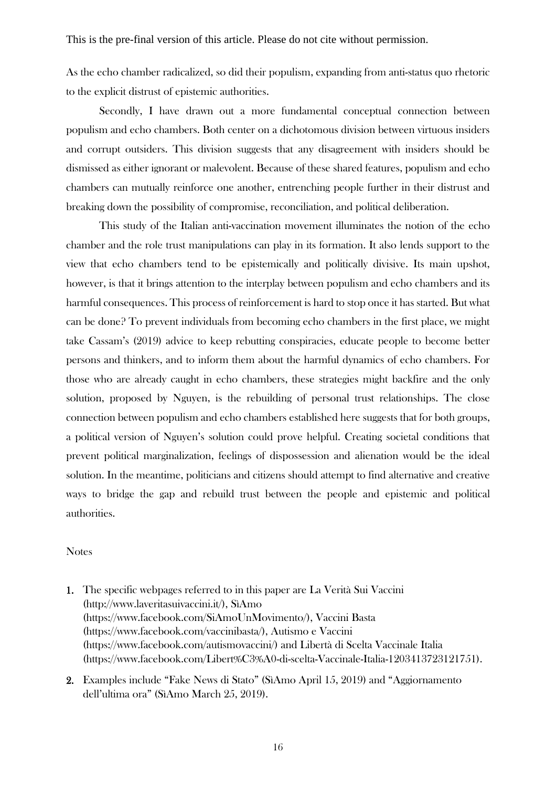As the echo chamber radicalized, so did their populism, expanding from anti-status quo rhetoric to the explicit distrust of epistemic authorities.

Secondly, I have drawn out a more fundamental conceptual connection between populism and echo chambers. Both center on a dichotomous division between virtuous insiders and corrupt outsiders. This division suggests that any disagreement with insiders should be dismissed as either ignorant or malevolent. Because of these shared features, populism and echo chambers can mutually reinforce one another, entrenching people further in their distrust and breaking down the possibility of compromise, reconciliation, and political deliberation.

This study of the Italian anti-vaccination movement illuminates the notion of the echo chamber and the role trust manipulations can play in its formation. It also lends support to the view that echo chambers tend to be epistemically and politically divisive. Its main upshot, however, is that it brings attention to the interplay between populism and echo chambers and its harmful consequences. This process of reinforcement is hard to stop once it has started. But what can be done? To prevent individuals from becoming echo chambers in the first place, we might take Cassam's (2019) advice to keep rebutting conspiracies, educate people to become better persons and thinkers, and to inform them about the harmful dynamics of echo chambers. For those who are already caught in echo chambers, these strategies might backfire and the only solution, proposed by Nguyen, is the rebuilding of personal trust relationships. The close connection between populism and echo chambers established here suggests that for both groups, a political version of Nguyen's solution could prove helpful. Creating societal conditions that prevent political marginalization, feelings of dispossession and alienation would be the ideal solution. In the meantime, politicians and citizens should attempt to find alternative and creative ways to bridge the gap and rebuild trust between the people and epistemic and political authorities.

#### Notes

- 1. The specific webpages referred to in this paper are La Verità Sui Vaccini (http://www.laveritasuivaccini.it/), SìAmo (https://www.facebook.com/SiAmoUnMovimento/), Vaccini Basta (https://www.facebook.com/vaccinibasta/), Autismo e Vaccini (https://www.facebook.com/autismovaccini/) and Libertà di Scelta Vaccinale Italia (https://www.facebook.com/Libert%C3%A0-di-scelta-Vaccinale-Italia-1203413723121751).
- 2. Examples include "Fake News di Stato" (SìAmo April 15, 2019) and "Aggiornamento dell'ultima ora" (SìAmo March 25, 2019).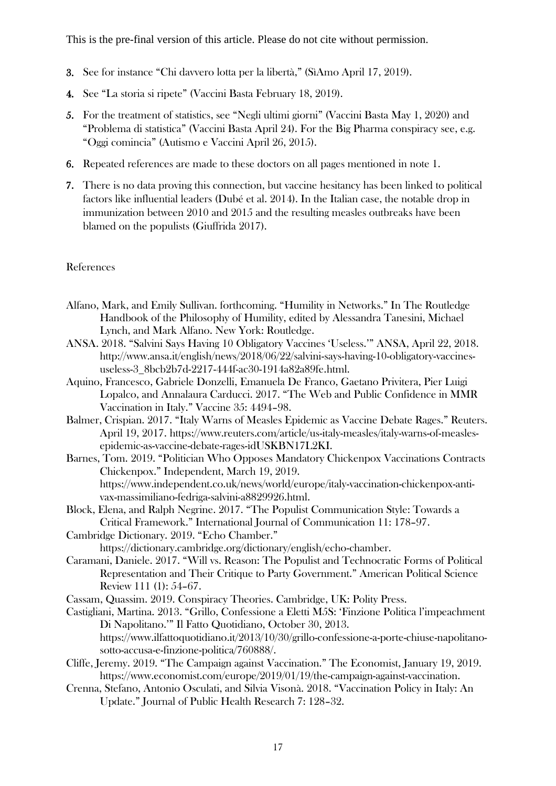- 3. See for instance "Chi davvero lotta per la libertà," (SìAmo April 17, 2019).
- 4. See "La storia si ripete" (Vaccini Basta February 18, 2019).
- 5. For the treatment of statistics, see "Negli ultimi giorni" (Vaccini Basta May 1, 2020) and "Problema di statistica" (Vaccini Basta April 24). For the Big Pharma conspiracy see, e.g. "Oggi comincia" (Autismo e Vaccini April 26, 2015).
- 6. Repeated references are made to these doctors on all pages mentioned in note 1.
- 7. There is no data proving this connection, but vaccine hesitancy has been linked to political factors like influential leaders (Dubé et al. 2014). In the Italian case, the notable drop in immunization between 2010 and 2015 and the resulting measles outbreaks have been blamed on the populists (Giuffrida 2017).

### References

- Alfano, Mark, and Emily Sullivan. forthcoming. "Humility in Networks." In The Routledge Handbook of the Philosophy of Humility, edited by Alessandra Tanesini, Michael Lynch, and Mark Alfano. New York: Routledge.
- ANSA. 2018. "Salvini Says Having 10 Obligatory Vaccines 'Useless.'" ANSA, April 22, 2018. http://www.ansa.it/english/news/2018/06/22/salvini-says-having-10-obligatory-vaccinesuseless-3\_8bcb2b7d-2217-444f-ac30-1914a82a89fe.html.
- Aquino, Francesco, Gabriele Donzelli, Emanuela De Franco, Gaetano Privitera, Pier Luigi Lopalco, and Annalaura Carducci. 2017. "The Web and Public Confidence in MMR Vaccination in Italy." Vaccine 35: 4494–98.
- Balmer, Crispian. 2017. "Italy Warns of Measles Epidemic as Vaccine Debate Rages." Reuters. April 19, 2017. https://www.reuters.com/article/us-italy-measles/italy-warns-of-measlesepidemic-as-vaccine-debate-rages-idUSKBN17L2KI.
- Barnes, Tom. 2019. "Politician Who Opposes Mandatory Chickenpox Vaccinations Contracts Chickenpox." Independent, March 19, 2019. https://www.independent.co.uk/news/world/europe/italy-vaccination-chickenpox-antivax-massimiliano-fedriga-salvini-a8829926.html.
- Block, Elena, and Ralph Negrine. 2017. "The Populist Communication Style: Towards a Critical Framework." International Journal of Communication 11: 178–97.
- Cambridge Dictionary. 2019. "Echo Chamber." https://dictionary.cambridge.org/dictionary/english/echo-chamber.
- Caramani, Daniele. 2017. "Will vs. Reason: The Populist and Technocratic Forms of Political Representation and Their Critique to Party Government." American Political Science Review 111 (1): 54–67.
- Cassam, Quassim. 2019. Conspiracy Theories. Cambridge, UK: Polity Press.
- Castigliani, Martina. 2013. "Grillo, Confessione a Eletti M5S: 'Finzione Politica l'impeachment Di Napolitano.'" Il Fatto Quotidiano, October 30, 2013. https://www.ilfattoquotidiano.it/2013/10/30/grillo-confessione-a-porte-chiuse-napolitanosotto-accusa-e-finzione-politica/760888/.
- Cliffe, Jeremy. 2019. "The Campaign against Vaccination." The Economist, January 19, 2019. https://www.economist.com/europe/2019/01/19/the-campaign-against-vaccination.
- Crenna, Stefano, Antonio Osculati, and Silvia Visonà. 2018. "Vaccination Policy in Italy: An Update." Journal of Public Health Research 7: 128–32.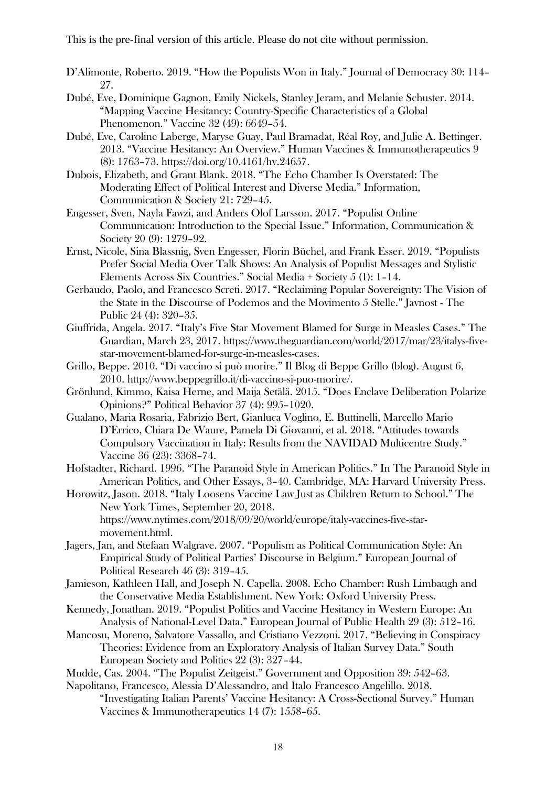- D'Alimonte, Roberto. 2019. "How the Populists Won in Italy." Journal of Democracy 30: 114– 27.
- Dubé, Eve, Dominique Gagnon, Emily Nickels, Stanley Jeram, and Melanie Schuster. 2014. "Mapping Vaccine Hesitancy: Country-Specific Characteristics of a Global Phenomenon." Vaccine 32 (49): 6649–54.
- Dubé, Eve, Caroline Laberge, Maryse Guay, Paul Bramadat, Réal Roy, and Julie A. Bettinger. 2013. "Vaccine Hesitancy: An Overview." Human Vaccines & Immunotherapeutics 9 (8): 1763–73. https://doi.org/10.4161/hv.24657.
- Dubois, Elizabeth, and Grant Blank. 2018. "The Echo Chamber Is Overstated: The Moderating Effect of Political Interest and Diverse Media." Information, Communication & Society 21: 729–45.
- Engesser, Sven, Nayla Fawzi, and Anders Olof Larsson. 2017. "Populist Online Communication: Introduction to the Special Issue." Information, Communication & Society 20 (9): 1279–92.
- Ernst, Nicole, Sina Blassnig, Sven Engesser, Florin Büchel, and Frank Esser. 2019. "Populists Prefer Social Media Over Talk Shows: An Analysis of Populist Messages and Stylistic Elements Across Six Countries." Social Media + Society 5 (1): 1–14.
- Gerbaudo, Paolo, and Francesco Screti. 2017. "Reclaiming Popular Sovereignty: The Vision of the State in the Discourse of Podemos and the Movimento 5 Stelle." Javnost - The Public 24 (4): 320–35.
- Giuffrida, Angela. 2017. "Italy's Five Star Movement Blamed for Surge in Measles Cases." The Guardian, March 23, 2017. https://www.theguardian.com/world/2017/mar/23/italys-fivestar-movement-blamed-for-surge-in-measles-cases.
- Grillo, Beppe. 2010. "Di vaccino si può morire." Il Blog di Beppe Grillo (blog). August 6, 2010. http://www.beppegrillo.it/di-vaccino-si-puo-morire/.
- Grönlund, Kimmo, Kaisa Herne, and Maija Setälä. 2015. "Does Enclave Deliberation Polarize Opinions?" Political Behavior 37 (4): 995–1020.
- Gualano, Maria Rosaria, Fabrizio Bert, Gianluca Voglino, E. Buttinelli, Marcello Mario D'Errico, Chiara De Waure, Pamela Di Giovanni, et al. 2018. "Attitudes towards Compulsory Vaccination in Italy: Results from the NAVIDAD Multicentre Study." Vaccine 36 (23): 3368–74.
- Hofstadter, Richard. 1996. "The Paranoid Style in American Politics." In The Paranoid Style in American Politics, and Other Essays, 3–40. Cambridge, MA: Harvard University Press.
- Horowitz, Jason. 2018. "Italy Loosens Vaccine Law Just as Children Return to School." The New York Times, September 20, 2018. https://www.nytimes.com/2018/09/20/world/europe/italy-vaccines-five-starmovement.html.
- Jagers, Jan, and Stefaan Walgrave. 2007. "Populism as Political Communication Style: An Empirical Study of Political Parties' Discourse in Belgium." European Journal of Political Research 46 (3): 319–45.
- Jamieson, Kathleen Hall, and Joseph N. Capella. 2008. Echo Chamber: Rush Limbaugh and the Conservative Media Establishment. New York: Oxford University Press.
- Kennedy, Jonathan. 2019. "Populist Politics and Vaccine Hesitancy in Western Europe: An Analysis of National-Level Data." European Journal of Public Health 29 (3): 512–16.
- Mancosu, Moreno, Salvatore Vassallo, and Cristiano Vezzoni. 2017. "Believing in Conspiracy Theories: Evidence from an Exploratory Analysis of Italian Survey Data." South European Society and Politics 22 (3): 327–44.
- Mudde, Cas. 2004. "The Populist Zeitgeist." Government and Opposition 39: 542–63.
- Napolitano, Francesco, Alessia D'Alessandro, and Italo Francesco Angelillo. 2018. "Investigating Italian Parents' Vaccine Hesitancy: A Cross-Sectional Survey." Human Vaccines & Immunotherapeutics 14 (7): 1558–65.